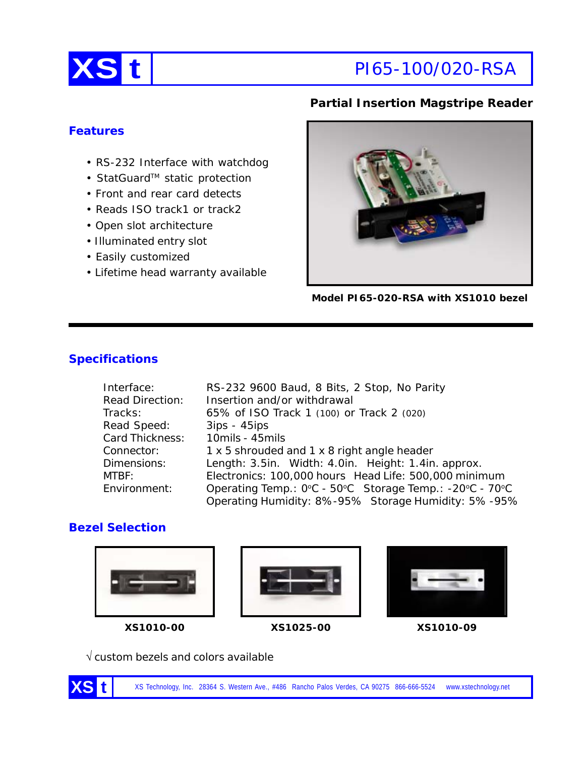

# **Partial Insertion Magstripe Reader**

### **Features**

- RS-232 Interface with watchdog
- StatGuard™ static protection
- Front and rear card detects
- Reads ISO track1 or track2
- Open slot architecture
- Illuminated entry slot
- Easily customized
- Lifetime head warranty available



**Model PI65-020-RSA with XS1010 bezel**

# **Specifications**

| Interface:             | RS-232 9600 Baud, 8 Bits, 2 Stop, No Parity             |  |  |
|------------------------|---------------------------------------------------------|--|--|
| <b>Read Direction:</b> | Insertion and/or withdrawal                             |  |  |
| Tracks:                | 65% of ISO Track 1 (100) or Track 2 (020)               |  |  |
| Read Speed:            | $3ips - 45ips$                                          |  |  |
| Card Thickness:        | 10mils - 45mils                                         |  |  |
| Connector:             | 1 x 5 shrouded and 1 x 8 right angle header             |  |  |
| Dimensions:            | Length: 3.5in. Width: 4.0in. Height: 1.4in. approx.     |  |  |
| MTBF:                  | Electronics: 100,000 hours Head Life: 500,000 minimum   |  |  |
| Environment:           | Operating Temp.: 0°C - 50°C Storage Temp.: -20°C - 70°C |  |  |
|                        | Operating Humidity: 8%-95% Storage Humidity: 5%-95%     |  |  |

# **Bezel Selection**











√ custom bezels and colors available